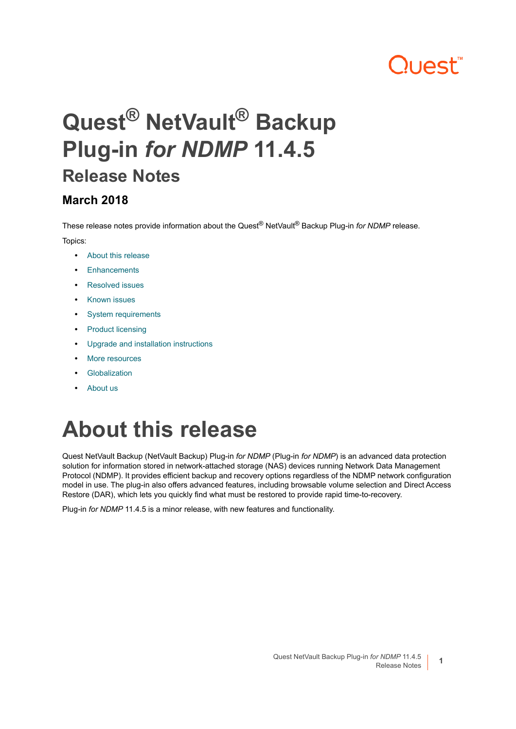# **Quest**

## **Quest® NetVault® Backup Plug-in** *for NDMP* **11.4.5 Release Notes**

#### **March 2018**

These release notes provide information about the Quest® NetVault® Backup Plug-in *for NDMP* release. Topics:

- **•** [About this release](#page-0-0)
- **•** [Enhancements](#page-1-2)
- **•** [Resolved issues](#page-1-0)
- **•** [Known issues](#page-1-1)
- **•** [System requirements](#page-4-0)
- **•** [Product licensing](#page-5-0)
- **•** [Upgrade and installation instructions](#page-6-0)
- **•** [More resources](#page-6-1)
- **•** [Globalization](#page-6-2)
- **•** [About us](#page-7-0)

## <span id="page-0-0"></span>**About this release**

Quest NetVault Backup (NetVault Backup) Plug-in *for NDMP* (Plug-in *for NDMP*) is an advanced data protection solution for information stored in network-attached storage (NAS) devices running Network Data Management Protocol (NDMP). It provides efficient backup and recovery options regardless of the NDMP network configuration model in use. The plug-in also offers advanced features, including browsable volume selection and Direct Access Restore (DAR), which lets you quickly find what must be restored to provide rapid time-to-recovery.

Plug-in *for NDMP* 11.4.5 is a minor release, with new features and functionality.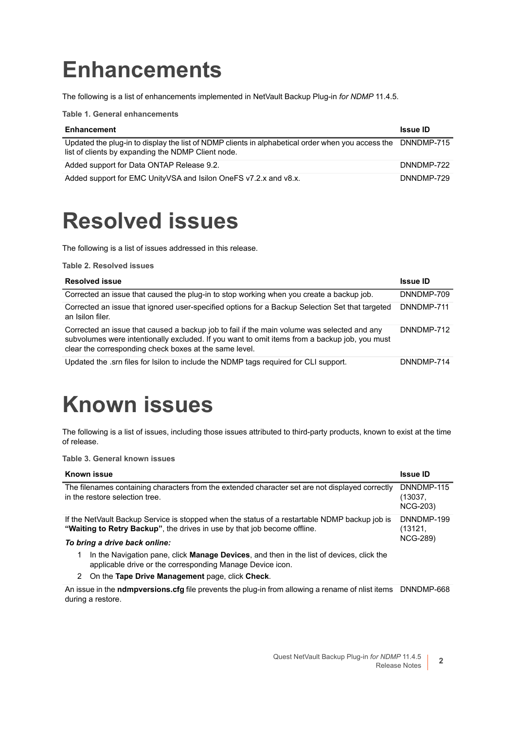## <span id="page-1-2"></span>**Enhancements**

The following is a list of enhancements implemented in NetVault Backup Plug-in *for NDMP* 11.4.5.

**Table 1. General enhancements**

| <b>Enhancement</b>                                                                                                                                                 | <b>Issue ID</b> |
|--------------------------------------------------------------------------------------------------------------------------------------------------------------------|-----------------|
| Updated the plug-in to display the list of NDMP clients in alphabetical order when you access the DNNDMP-715<br>list of clients by expanding the NDMP Client node. |                 |
| Added support for Data ONTAP Release 9.2.                                                                                                                          | DNNDMP-722      |
| Added support for EMC Unity VSA and Isilon OneFS v7.2.x and v8.x.                                                                                                  | DNNDMP-729      |

### <span id="page-1-0"></span>**Resolved issues**

The following is a list of issues addressed in this release.

**Table 2. Resolved issues**

| <b>Resolved issue</b>                                                                                                                                                                                                                                  | <b>Issue ID</b> |
|--------------------------------------------------------------------------------------------------------------------------------------------------------------------------------------------------------------------------------------------------------|-----------------|
| Corrected an issue that caused the plug-in to stop working when you create a backup job.                                                                                                                                                               | DNNDMP-709      |
| Corrected an issue that ignored user-specified options for a Backup Selection Set that targeted<br>an Isilon filer.                                                                                                                                    | DNNDMP-711      |
| Corrected an issue that caused a backup job to fail if the main volume was selected and any<br>subvolumes were intentionally excluded. If you want to omit items from a backup job, you must<br>clear the corresponding check boxes at the same level. | DNNDMP-712      |
| Updated the .srn files for Isilon to include the NDMP tags required for CLI support.                                                                                                                                                                   | DNNDMP-714      |

## <span id="page-1-1"></span>**Known issues**

The following is a list of issues, including those issues attributed to third-party products, known to exist at the time of release.

**Table 3. General known issues**

| <b>Known issue</b>                                                                                                                                                                      | <b>Issue ID</b>                          |  |  |
|-----------------------------------------------------------------------------------------------------------------------------------------------------------------------------------------|------------------------------------------|--|--|
| The filenames containing characters from the extended character set are not displayed correctly<br>in the restore selection tree.                                                       | DNNDMP-115<br>(13037,<br><b>NCG-203)</b> |  |  |
| If the NetVault Backup Service is stopped when the status of a restartable NDMP backup job is<br>DNNDMP-199<br>"Waiting to Retry Backup", the drives in use by that job become offline. |                                          |  |  |
| To bring a drive back online:                                                                                                                                                           | <b>NCG-289)</b>                          |  |  |
| In the Navigation pane, click <b>Manage Devices</b> , and then in the list of devices, click the<br>applicable drive or the corresponding Manage Device icon.                           |                                          |  |  |
| On the Tape Drive Management page, click Check.<br>2                                                                                                                                    |                                          |  |  |

An issue in the **ndmpversions.cfg** file prevents the plug-in from allowing a rename of nlist items DNNDMP-668during a restore.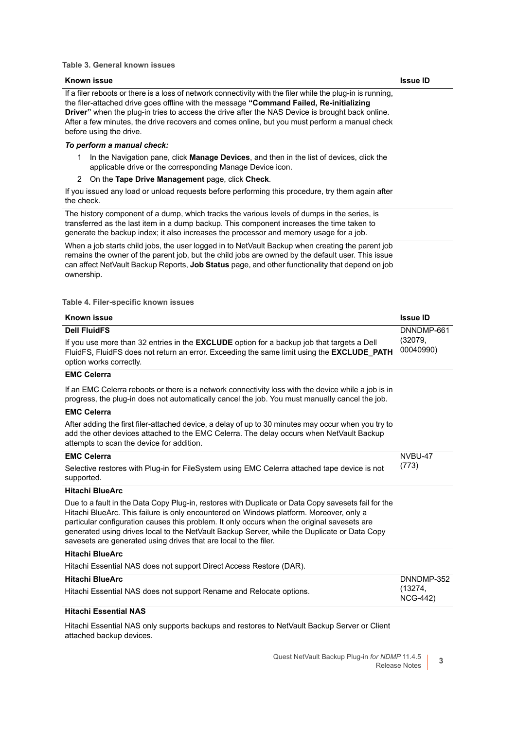#### **Table 3. General known issues**

#### If a filer reboots or there is a loss of network connectivity with the filer while the plug-in is running, the filer-attached drive goes offline with the message **"Command Failed, Re-initializing Driver"** when the plug-in tries to access the drive after the NAS Device is brought back online. After a few minutes, the drive recovers and comes online, but you must perform a manual check before using the drive. *To perform a manual check:* 1 In the Navigation pane, click **Manage Devices**, and then in the list of devices, click the applicable drive or the corresponding Manage Device icon. 2 On the **Tape Drive Management** page, click **Check**. If you issued any load or unload requests before performing this procedure, try them again after the check. The history component of a dump, which tracks the various levels of dumps in the series, is **Known issue Issue ID**

transferred as the last item in a dump backup. This component increases the time taken to generate the backup index; it also increases the processor and memory usage for a job.

When a job starts child jobs, the user logged in to NetVault Backup when creating the parent job remains the owner of the parent job, but the child jobs are owned by the default user. This issue can affect NetVault Backup Reports, **Job Status** page, and other functionality that depend on job ownership.

**Table 4. Filer-specific known issues**

| <b>Known issue</b>                                                                                                                                                                                                                                                                                                                                                                                                                                                | <b>Issue ID</b>                          |
|-------------------------------------------------------------------------------------------------------------------------------------------------------------------------------------------------------------------------------------------------------------------------------------------------------------------------------------------------------------------------------------------------------------------------------------------------------------------|------------------------------------------|
| <b>Dell FluidFS</b><br>If you use more than 32 entries in the <b>EXCLUDE</b> option for a backup job that targets a Dell<br>FluidFS, FluidFS does not return an error. Exceeding the same limit using the EXCLUDE_PATH<br>option works correctly.                                                                                                                                                                                                                 | DNNDMP-661<br>(32079,<br>00040990)       |
| <b>EMC Celerra</b>                                                                                                                                                                                                                                                                                                                                                                                                                                                |                                          |
| If an EMC Celerra reboots or there is a network connectivity loss with the device while a job is in<br>progress, the plug-in does not automatically cancel the job. You must manually cancel the job.                                                                                                                                                                                                                                                             |                                          |
| <b>EMC Celerra</b>                                                                                                                                                                                                                                                                                                                                                                                                                                                |                                          |
| After adding the first filer-attached device, a delay of up to 30 minutes may occur when you try to<br>add the other devices attached to the EMC Celerra. The delay occurs when NetVault Backup<br>attempts to scan the device for addition.                                                                                                                                                                                                                      |                                          |
| <b>EMC Celerra</b>                                                                                                                                                                                                                                                                                                                                                                                                                                                | NVBU-47                                  |
| Selective restores with Plug-in for FileSystem using EMC Celerra attached tape device is not<br>supported.                                                                                                                                                                                                                                                                                                                                                        | (773)                                    |
| <b>Hitachi BlueArc</b>                                                                                                                                                                                                                                                                                                                                                                                                                                            |                                          |
| Due to a fault in the Data Copy Plug-in, restores with Duplicate or Data Copy savesets fail for the<br>Hitachi BlueArc. This failure is only encountered on Windows platform. Moreover, only a<br>particular configuration causes this problem. It only occurs when the original savesets are<br>generated using drives local to the NetVault Backup Server, while the Duplicate or Data Copy<br>savesets are generated using drives that are local to the filer. |                                          |
| <b>Hitachi BlueArc</b>                                                                                                                                                                                                                                                                                                                                                                                                                                            |                                          |
| Hitachi Essential NAS does not support Direct Access Restore (DAR).                                                                                                                                                                                                                                                                                                                                                                                               |                                          |
| <b>Hitachi BlueArc</b><br>Hitachi Essential NAS does not support Rename and Relocate options.                                                                                                                                                                                                                                                                                                                                                                     | DNNDMP-352<br>(13274,<br><b>NCG-442)</b> |
| <b>Hitachi Essential NAS</b>                                                                                                                                                                                                                                                                                                                                                                                                                                      |                                          |

Hitachi Essential NAS only supports backups and restores to NetVault Backup Server or Client attached backup devices.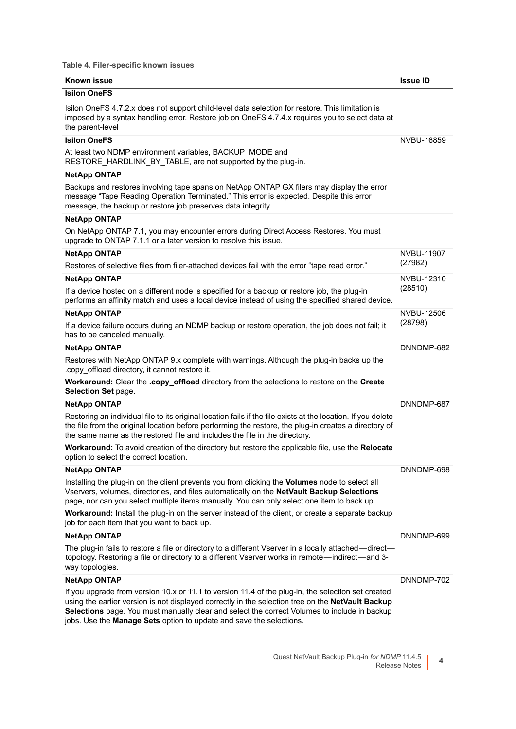**Table 4. Filer-specific known issues**

| Known issue                                                                                                                                                                                                                                                                                                                                                                                                                                  | <b>Issue ID</b> |
|----------------------------------------------------------------------------------------------------------------------------------------------------------------------------------------------------------------------------------------------------------------------------------------------------------------------------------------------------------------------------------------------------------------------------------------------|-----------------|
| <b>Isilon OneFS</b>                                                                                                                                                                                                                                                                                                                                                                                                                          |                 |
| Isilon OneFS 4.7.2.x does not support child-level data selection for restore. This limitation is<br>imposed by a syntax handling error. Restore job on OneFS 4.7.4.x requires you to select data at<br>the parent-level                                                                                                                                                                                                                      |                 |
| <b>Isilon OneFS</b>                                                                                                                                                                                                                                                                                                                                                                                                                          | NVBU-16859      |
| At least two NDMP environment variables, BACKUP_MODE and<br>RESTORE_HARDLINK_BY_TABLE, are not supported by the plug-in.                                                                                                                                                                                                                                                                                                                     |                 |
| NetApp ONTAP                                                                                                                                                                                                                                                                                                                                                                                                                                 |                 |
| Backups and restores involving tape spans on NetApp ONTAP GX filers may display the error<br>message "Tape Reading Operation Terminated." This error is expected. Despite this error<br>message, the backup or restore job preserves data integrity.                                                                                                                                                                                         |                 |
| <b>NetApp ONTAP</b>                                                                                                                                                                                                                                                                                                                                                                                                                          |                 |
| On NetApp ONTAP 7.1, you may encounter errors during Direct Access Restores. You must<br>upgrade to ONTAP 7.1.1 or a later version to resolve this issue.                                                                                                                                                                                                                                                                                    |                 |
| <b>NetApp ONTAP</b>                                                                                                                                                                                                                                                                                                                                                                                                                          | NVBU-11907      |
| Restores of selective files from filer-attached devices fail with the error "tape read error."                                                                                                                                                                                                                                                                                                                                               | (27982)         |
| <b>NetApp ONTAP</b>                                                                                                                                                                                                                                                                                                                                                                                                                          | NVBU-12310      |
| If a device hosted on a different node is specified for a backup or restore job, the plug-in<br>performs an affinity match and uses a local device instead of using the specified shared device.                                                                                                                                                                                                                                             | (28510)         |
| <b>NetApp ONTAP</b>                                                                                                                                                                                                                                                                                                                                                                                                                          | NVBU-12506      |
| If a device failure occurs during an NDMP backup or restore operation, the job does not fail; it<br>has to be canceled manually.                                                                                                                                                                                                                                                                                                             | (28798)         |
| NetApp ONTAP                                                                                                                                                                                                                                                                                                                                                                                                                                 | DNNDMP-682      |
| Restores with NetApp ONTAP 9.x complete with warnings. Although the plug-in backs up the<br>.copy_offload directory, it cannot restore it.                                                                                                                                                                                                                                                                                                   |                 |
| Workaround: Clear the .copy_offload directory from the selections to restore on the Create<br>Selection Set page.                                                                                                                                                                                                                                                                                                                            |                 |
| <b>NetApp ONTAP</b>                                                                                                                                                                                                                                                                                                                                                                                                                          | DNNDMP-687      |
| Restoring an individual file to its original location fails if the file exists at the location. If you delete<br>the file from the original location before performing the restore, the plug-in creates a directory of<br>the same name as the restored file and includes the file in the directory.                                                                                                                                         |                 |
| Workaround: To avoid creation of the directory but restore the applicable file, use the Relocate<br>option to select the correct location.                                                                                                                                                                                                                                                                                                   |                 |
| <b>NetApp ONTAP</b>                                                                                                                                                                                                                                                                                                                                                                                                                          | DNNDMP-698      |
| Installing the plug-in on the client prevents you from clicking the Volumes node to select all<br>Vservers, volumes, directories, and files automatically on the NetVault Backup Selections<br>page, nor can you select multiple items manually. You can only select one item to back up.<br>Workaround: Install the plug-in on the server instead of the client, or create a separate backup<br>job for each item that you want to back up. |                 |
| <b>NetApp ONTAP</b>                                                                                                                                                                                                                                                                                                                                                                                                                          | DNNDMP-699      |
| The plug-in fails to restore a file or directory to a different Vserver in a locally attached—direct—<br>topology. Restoring a file or directory to a different Vserver works in remote—indirect—and 3-<br>way topologies.                                                                                                                                                                                                                   |                 |
| <b>NetApp ONTAP</b>                                                                                                                                                                                                                                                                                                                                                                                                                          | DNNDMP-702      |
| If you upgrade from version 10.x or 11.1 to version 11.4 of the plug-in, the selection set created<br>using the earlier version is not displayed correctly in the selection tree on the NetVault Backup<br>Selections page. You must manually clear and select the correct Volumes to include in backup<br>jobs. Use the Manage Sets option to update and save the selections.                                                               |                 |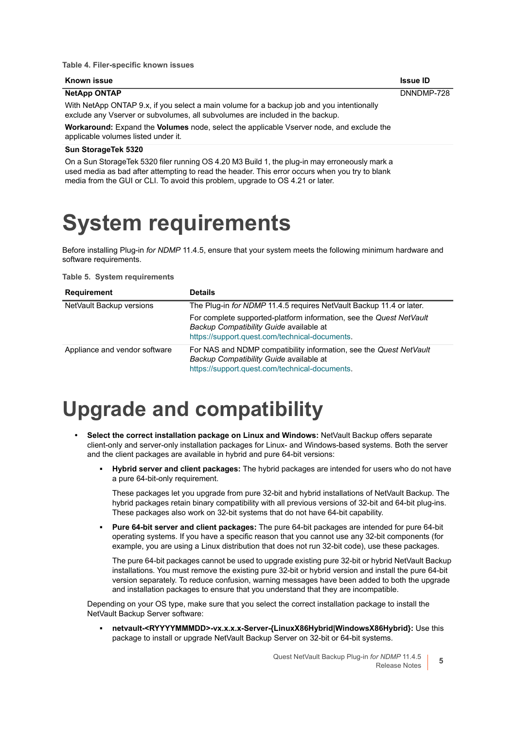#### **Table 4. Filer-specific known issues**

| Known issue                                                                                                                                                                | <b>Issue ID</b> |
|----------------------------------------------------------------------------------------------------------------------------------------------------------------------------|-----------------|
| <b>NetApp ONTAP</b>                                                                                                                                                        | DNNDMP-728      |
| With NetApp ONTAP 9.x, if you select a main volume for a backup job and you intentionally<br>exclude any Vserver or subvolumes, all subvolumes are included in the backup. |                 |
| <b>Workaround:</b> Expand the <b>Volumes</b> node, select the applicable Vserver node, and exclude the                                                                     |                 |
| applicable volumes listed under it.                                                                                                                                        |                 |

#### **Sun StorageTek 5320**

On a Sun StorageTek 5320 filer running OS 4.20 M3 Build 1, the plug-in may erroneously mark a used media as bad after attempting to read the header. This error occurs when you try to blank media from the GUI or CLI. To avoid this problem, upgrade to OS 4.21 or later.

#### <span id="page-4-0"></span>**System requirements**

Before installing Plug-in *for NDMP* 11.4.5, ensure that your system meets the following minimum hardware and software requirements.

#### **Table 5. System requirements**

| <b>Requirement</b>            | Details                                                                                                                                                          |
|-------------------------------|------------------------------------------------------------------------------------------------------------------------------------------------------------------|
| NetVault Backup versions      | The Plug-in for NDMP 11.4.5 requires NetVault Backup 11.4 or later.                                                                                              |
|                               | For complete supported-platform information, see the Quest NetVault<br>Backup Compatibility Guide available at<br>https://support.quest.com/technical-documents. |
| Appliance and vendor software | For NAS and NDMP compatibility information, see the Quest NetVault<br>Backup Compatibility Guide available at<br>https://support.quest.com/technical-documents.  |

#### **Upgrade and compatibility**

- **Select the correct installation package on Linux and Windows:** NetVault Backup offers separate client-only and server-only installation packages for Linux- and Windows-based systems. Both the server and the client packages are available in hybrid and pure 64-bit versions:
	- **▪ Hybrid server and client packages:** The hybrid packages are intended for users who do not have a pure 64-bit-only requirement.

These packages let you upgrade from pure 32-bit and hybrid installations of NetVault Backup. The hybrid packages retain binary compatibility with all previous versions of 32-bit and 64-bit plug-ins. These packages also work on 32-bit systems that do not have 64-bit capability.

**▪ Pure 64-bit server and client packages:** The pure 64-bit packages are intended for pure 64-bit operating systems. If you have a specific reason that you cannot use any 32-bit components (for example, you are using a Linux distribution that does not run 32-bit code), use these packages.

The pure 64-bit packages cannot be used to upgrade existing pure 32-bit or hybrid NetVault Backup installations. You must remove the existing pure 32-bit or hybrid version and install the pure 64-bit version separately. To reduce confusion, warning messages have been added to both the upgrade and installation packages to ensure that you understand that they are incompatible.

Depending on your OS type, make sure that you select the correct installation package to install the NetVault Backup Server software:

**▪ netvault-<RYYYYMMMDD>-vx.x.x.x-Server-{LinuxX86Hybrid|WindowsX86Hybrid}:** Use this package to install or upgrade NetVault Backup Server on 32-bit or 64-bit systems.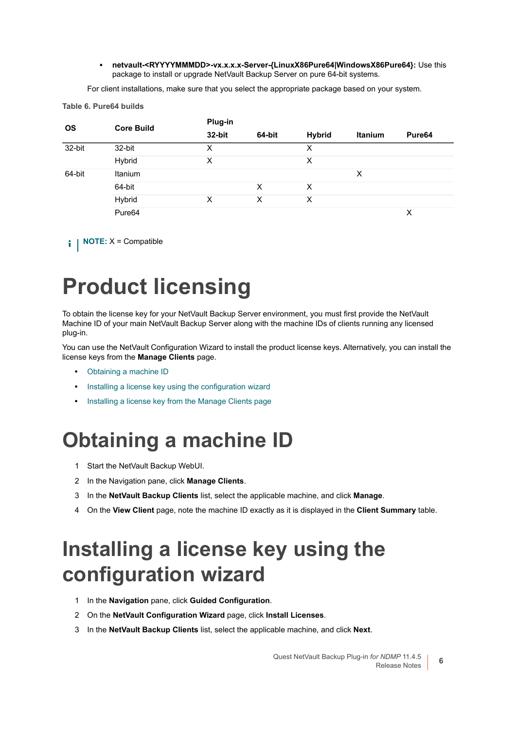**▪ netvault-<RYYYYMMMDD>-vx.x.x.x-Server-{LinuxX86Pure64|WindowsX86Pure64}:** Use this package to install or upgrade NetVault Backup Server on pure 64-bit systems.

For client installations, make sure that you select the appropriate package based on your system.

**Table 6. Pure64 builds**

| <b>OS</b> | <b>Core Build</b> | Plug-in |        |               |                |                    |
|-----------|-------------------|---------|--------|---------------|----------------|--------------------|
|           |                   | 32-bit  | 64-bit | <b>Hybrid</b> | <b>Itanium</b> | Pure <sub>64</sub> |
| 32-bit    | 32-bit            | х       |        | х             |                |                    |
|           | Hybrid            | X       |        | X             |                |                    |
| 64-bit    | Itanium           |         |        |               | X              |                    |
|           | 64-bit            |         | X      | X             |                |                    |
|           | Hybrid            | х       | х      | X             |                |                    |
|           | Pure64            |         |        |               |                | X                  |

**i** | NOTE: X = Compatible

# <span id="page-5-0"></span>**Product licensing**

To obtain the license key for your NetVault Backup Server environment, you must first provide the NetVault Machine ID of your main NetVault Backup Server along with the machine IDs of clients running any licensed plug-in.

You can use the NetVault Configuration Wizard to install the product license keys. Alternatively, you can install the license keys from the **Manage Clients** page.

- **•** [Obtaining a machine ID](#page-5-1)
- **•** [Installing a license key using the configuration wizard](#page-5-2)
- **•** [Installing a license key from the Manage Clients page](#page-6-3)

### <span id="page-5-1"></span>**Obtaining a machine ID**

- 1 Start the NetVault Backup WebUI.
- 2 In the Navigation pane, click **Manage Clients**.
- 3 In the **NetVault Backup Clients** list, select the applicable machine, and click **Manage**.
- 4 On the **View Client** page, note the machine ID exactly as it is displayed in the **Client Summary** table.

### <span id="page-5-2"></span>**Installing a license key using the configuration wizard**

- 1 In the **Navigation** pane, click **Guided Configuration**.
- 2 On the **NetVault Configuration Wizard** page, click **Install Licenses**.
- 3 In the **NetVault Backup Clients** list, select the applicable machine, and click **Next**.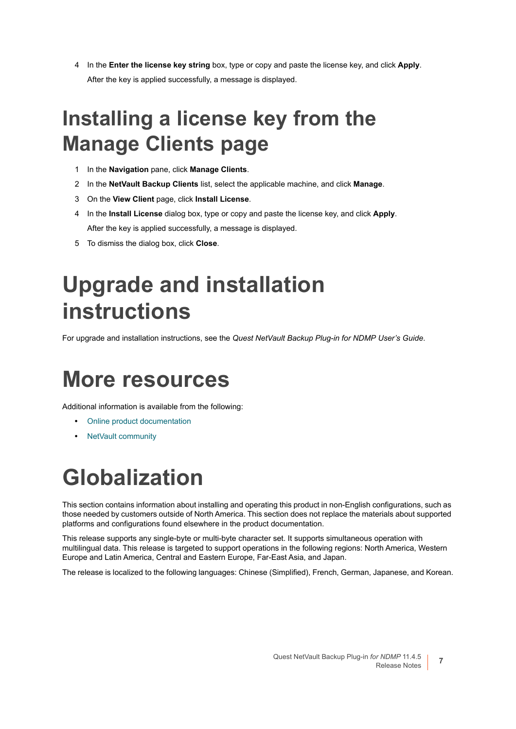4 In the **Enter the license key string** box, type or copy and paste the license key, and click **Apply**. After the key is applied successfully, a message is displayed.

## <span id="page-6-3"></span>**Installing a license key from the Manage Clients page**

- 1 In the **Navigation** pane, click **Manage Clients**.
- 2 In the **NetVault Backup Clients** list, select the applicable machine, and click **Manage**.
- 3 On the **View Client** page, click **Install License**.
- 4 In the **Install License** dialog box, type or copy and paste the license key, and click **Apply**. After the key is applied successfully, a message is displayed.
- 5 To dismiss the dialog box, click **Close**.

## <span id="page-6-0"></span>**Upgrade and installation instructions**

For upgrade and installation instructions, see the *Quest NetVault Backup Plug-in for NDMP User's Guide*.

### <span id="page-6-1"></span>**More resources**

Additional information is available from the following:

- **•** [Online product documentation](https://support.quest.com/technical-documents/)
- **•** [NetVault community](https://www.quest.com/community/products/netvault/)

## <span id="page-6-2"></span>**Globalization**

This section contains information about installing and operating this product in non-English configurations, such as those needed by customers outside of North America. This section does not replace the materials about supported platforms and configurations found elsewhere in the product documentation.

This release supports any single-byte or multi-byte character set. It supports simultaneous operation with multilingual data. This release is targeted to support operations in the following regions: North America, Western Europe and Latin America, Central and Eastern Europe, Far-East Asia, and Japan.

The release is localized to the following languages: Chinese (Simplified), French, German, Japanese, and Korean.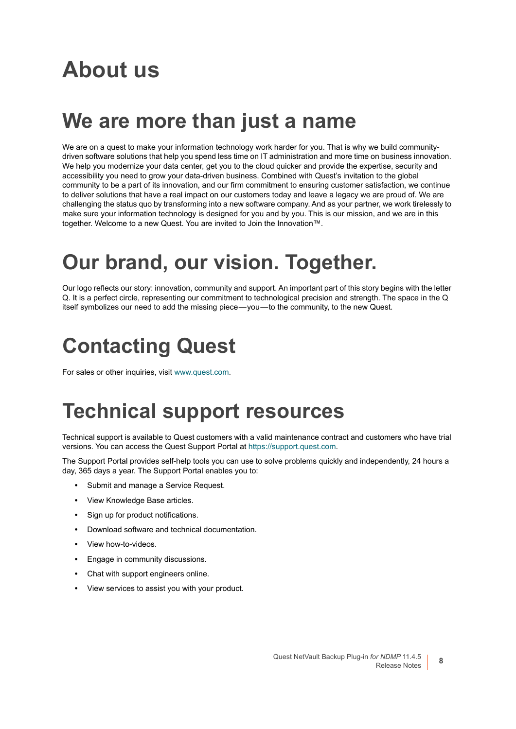## <span id="page-7-0"></span>**About us**

#### **We are more than just a name**

We are on a quest to make your information technology work harder for you. That is why we build communitydriven software solutions that help you spend less time on IT administration and more time on business innovation. We help you modernize your data center, get you to the cloud quicker and provide the expertise, security and accessibility you need to grow your data-driven business. Combined with Quest's invitation to the global community to be a part of its innovation, and our firm commitment to ensuring customer satisfaction, we continue to deliver solutions that have a real impact on our customers today and leave a legacy we are proud of. We are challenging the status quo by transforming into a new software company. And as your partner, we work tirelessly to make sure your information technology is designed for you and by you. This is our mission, and we are in this together. Welcome to a new Quest. You are invited to Join the Innovation™.

### **Our brand, our vision. Together.**

Our logo reflects our story: innovation, community and support. An important part of this story begins with the letter Q. It is a perfect circle, representing our commitment to technological precision and strength. The space in the Q itself symbolizes our need to add the missing piece — you — to the community, to the new Quest.

#### **Contacting Quest**

For sales or other inquiries, visit [www.quest.com](https://www.quest.com/company/contact-us.aspx).

### **Technical support resources**

Technical support is available to Quest customers with a valid maintenance contract and customers who have trial versions. You can access the Quest Support Portal at [https://support.quest.com.](https://support.quest.com)

The Support Portal provides self-help tools you can use to solve problems quickly and independently, 24 hours a day, 365 days a year. The Support Portal enables you to:

- **•** Submit and manage a Service Request.
- **•** View Knowledge Base articles.
- **•** Sign up for product notifications.
- **•** Download software and technical documentation.
- **•** View how-to-videos.
- **•** Engage in community discussions.
- **•** Chat with support engineers online.
- **•** View services to assist you with your product.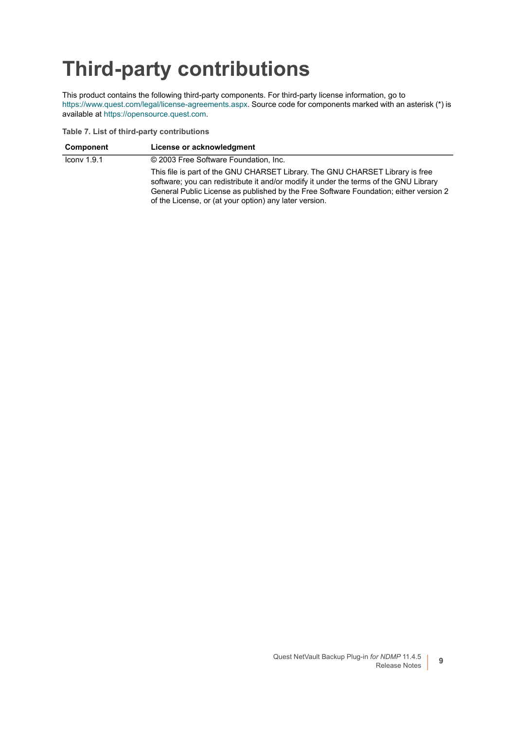# **Third-party contributions**

This product contains the following third-party components. For third-party license information, go to [https://www.quest.com/legal/license-agreements.aspx.](https://www.quest.com/legal/license-agreements.aspx) Source code for components marked with an asterisk (\*) is available at [https://opensource.quest.com.](https://opensource.quest.com)

**Table 7. List of third-party contributions**

| <b>Component</b>        | License or acknowledgment                                                                                                                                                                                                                                                                                                 |
|-------------------------|---------------------------------------------------------------------------------------------------------------------------------------------------------------------------------------------------------------------------------------------------------------------------------------------------------------------------|
| $I_{\text{conv}}$ 1.9.1 | © 2003 Free Software Foundation, Inc.                                                                                                                                                                                                                                                                                     |
|                         | This file is part of the GNU CHARSET Library. The GNU CHARSET Library is free<br>software; you can redistribute it and/or modify it under the terms of the GNU Library<br>General Public License as published by the Free Software Foundation; either version 2<br>of the License, or (at your option) any later version. |